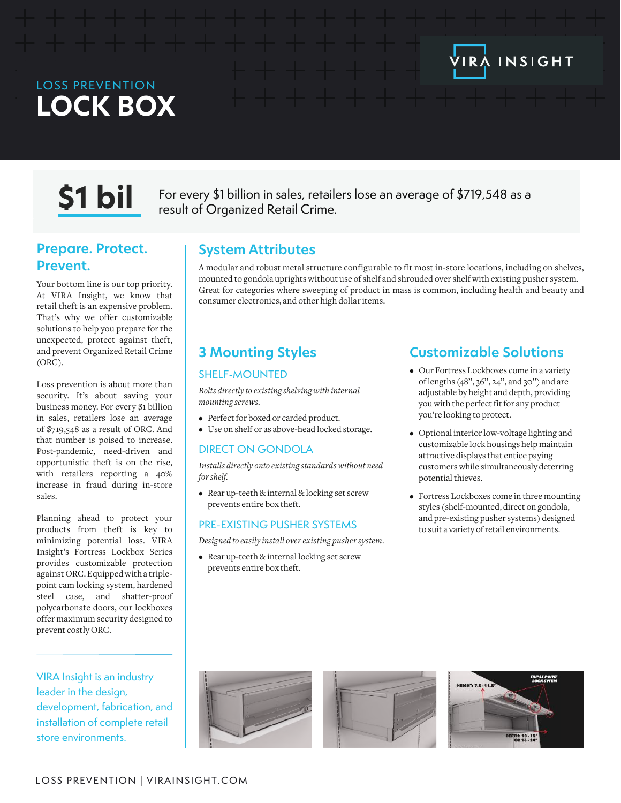## LOSS PREVENTION **LOCK BOX**

**S1 bil** For every \$1 billion in sales, retailers lose an average of \$719,548 as a result of Organized Retail Crime.

## **Prepare. Protect. Prevent.**

Your bottom line is our top priority. At VIRA Insight, we know that retail theft is an expensive problem. That's why we offer customizable solutions to help you prepare for the unexpected, protect against theft, and prevent Organized Retail Crime (ORC).

Loss prevention is about more than security. It's about saving your business money. For every \$1 billion in sales, retailers lose an average of \$719,548 as a result of ORC. And that number is poised to increase. Post-pandemic, need-driven and opportunistic theft is on the rise, with retailers reporting a 40% increase in fraud during in-store sales.

Planning ahead to protect your products from theft is key to minimizing potential loss. VIRA Insight's Fortress Lockbox Series provides customizable protection against ORC. Equipped with a triplepoint cam locking system, hardened steel case, and shatter-proof polycarbonate doors, our lockboxes offer maximum security designed to prevent costly ORC.

VIRA Insight is an industry leader in the design, development, fabrication, and installation of complete retail store environments.

## **System Attributes**

A modular and robust metal structure configurable to fit most in-store locations, including on shelves, mounted to gondola uprights without use of shelf and shrouded over shelf with existing pusher system. Great for categories where sweeping of product in mass is common, including health and beauty and consumer electronics, and other high dollar items.

## **3 Mounting Styles**

#### SHELF-MOUNTED

*Bolts directly to existing shelving with internal mounting screws.*

- Perfect for boxed or carded product.
- Use on shelf or as above-head locked storage.

### DIRECT ON GONDOLA

*Installs directly onto existing standards without need for shelf.*

• Rear up-teeth & internal & locking set screw prevents entire box theft.

#### PRE-EXISTING PUSHER SYSTEMS

*Designed to easily install over existing pusher system.*

• Rear up-teeth & internal locking set screw prevents entire box theft.

## **Customizable Solutions**

IRA INSIGHT

- Our Fortress Lockboxes come in a variety of lengths (48'', 36'', 24'', and 30'') and are adjustable by height and depth, providing you with the perfect fit for any product you're looking to protect.
- Optional interior low-voltage lighting and customizable lock housings help maintain attractive displays that entice paying customers while simultaneously deterring potential thieves.
- Fortress Lockboxes come in three mounting styles (shelf-mounted, direct on gondola, and pre-existing pusher systems) designed to suit a variety of retail environments.